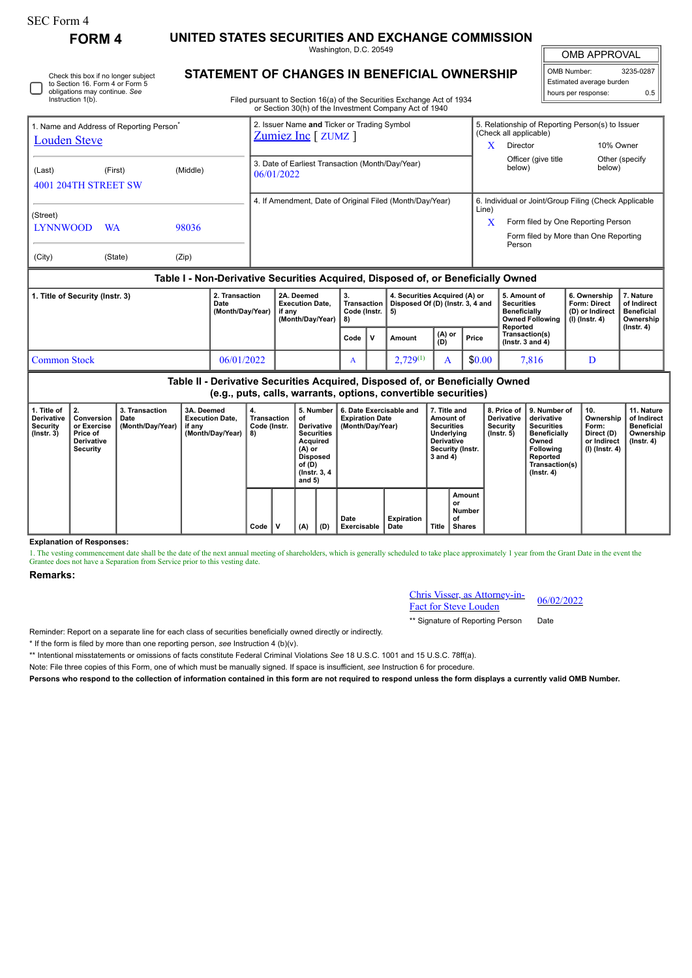| SEC Form 4 |
|------------|
|------------|

**FORM 4 UNITED STATES SECURITIES AND EXCHANGE COMMISSION**

Washington, D.C. 20549

OMB APPROVAL

 $\mathbb{I}$ 

| 3235-0287                  |  |  |  |  |  |  |  |  |  |
|----------------------------|--|--|--|--|--|--|--|--|--|
| Estimated average burden   |  |  |  |  |  |  |  |  |  |
| hours per response:<br>ሰ ፣ |  |  |  |  |  |  |  |  |  |
|                            |  |  |  |  |  |  |  |  |  |

Check this box if no longer subject to Section 16. Form 4 or Form 5 obligations may continue. *See* Instruction 1(b).

## **STATEMENT OF CHANGES IN BENEFICIAL OWNERSHIP**

Filed pursuant to Section 16(a) of the Securities Exchange Act of 1934 or Section 30(h) of the Investment Company Act of 1940

| 1. Name and Address of Reporting Person <sup>®</sup>                                                                                            |           |          |                                                          | 2. Issuer Name and Ticker or Trading Symbol<br>$Z$ umiez Inc [ $Z$ UMZ ] |                                                                    |                                                |              |                                                                         |                                                                                       |                                                       | 5. Relationship of Reporting Person(s) to Issuer<br>(Check all applicable)                     |                                                                            |                                                                                |  |  |
|-------------------------------------------------------------------------------------------------------------------------------------------------|-----------|----------|----------------------------------------------------------|--------------------------------------------------------------------------|--------------------------------------------------------------------|------------------------------------------------|--------------|-------------------------------------------------------------------------|---------------------------------------------------------------------------------------|-------------------------------------------------------|------------------------------------------------------------------------------------------------|----------------------------------------------------------------------------|--------------------------------------------------------------------------------|--|--|
| <b>Louden Steve</b>                                                                                                                             |           |          |                                                          |                                                                          |                                                                    |                                                |              |                                                                         | X                                                                                     | Director                                              | 10% Owner                                                                                      |                                                                            |                                                                                |  |  |
| (Last)<br>4001 204TH STREET SW                                                                                                                  | (First)   | (Middle) |                                                          | 3. Date of Earliest Transaction (Month/Day/Year)<br>06/01/2022           |                                                                    |                                                |              |                                                                         |                                                                                       |                                                       | Officer (give title<br>below)                                                                  | below)                                                                     | Other (specify                                                                 |  |  |
|                                                                                                                                                 |           |          | 4. If Amendment, Date of Original Filed (Month/Day/Year) |                                                                          |                                                                    |                                                |              |                                                                         |                                                                                       | 6. Individual or Joint/Group Filing (Check Applicable |                                                                                                |                                                                            |                                                                                |  |  |
| (Street)<br><b>LYNNWOOD</b>                                                                                                                     | <b>WA</b> |          |                                                          |                                                                          |                                                                    |                                                |              | Line)<br>X                                                              | Form filed by One Reporting Person<br>Form filed by More than One Reporting<br>Person |                                                       |                                                                                                |                                                                            |                                                                                |  |  |
| (City)                                                                                                                                          | (State)   | (Zip)    |                                                          |                                                                          |                                                                    |                                                |              |                                                                         |                                                                                       |                                                       |                                                                                                |                                                                            |                                                                                |  |  |
| Table I - Non-Derivative Securities Acquired, Disposed of, or Beneficially Owned                                                                |           |          |                                                          |                                                                          |                                                                    |                                                |              |                                                                         |                                                                                       |                                                       |                                                                                                |                                                                            |                                                                                |  |  |
| 1. Title of Security (Instr. 3)<br>Date                                                                                                         |           |          | 2. Transaction<br>(Month/Day/Year)                       |                                                                          | 2A. Deemed<br><b>Execution Date.</b><br>if any<br>(Month/Day/Year) | 3.<br><b>Transaction</b><br>Code (Instr.<br>8) |              | 4. Securities Acquired (A) or<br>Disposed Of (D) (Instr. 3, 4 and<br>5) |                                                                                       |                                                       | 5. Amount of<br><b>Securities</b><br><b>Beneficially</b><br><b>Owned Following</b><br>Reported | 6. Ownership<br><b>Form: Direct</b><br>(D) or Indirect<br>$(l)$ (lnstr. 4) | 7. Nature<br>of Indirect<br><b>Beneficial</b><br>Ownership<br>$($ lnstr. 4 $)$ |  |  |
|                                                                                                                                                 |           |          |                                                          |                                                                          |                                                                    | Code                                           | $\mathsf{v}$ | <b>Amount</b>                                                           | (A) or<br>(D)                                                                         | Price                                                 | Transaction(s)<br>$($ lnstr. 3 and 4 $)$                                                       |                                                                            |                                                                                |  |  |
| <b>Common Stock</b><br>06/01/2022                                                                                                               |           |          |                                                          |                                                                          |                                                                    | A                                              |              | $2,729^{(1)}$                                                           | A                                                                                     | \$0.00                                                | 7,816                                                                                          | D                                                                          |                                                                                |  |  |
| Table II - Derivative Securities Acquired, Disposed of, or Beneficially Owned<br>(e.g., puts, calls, warrants, options, convertible securities) |           |          |                                                          |                                                                          |                                                                    |                                                |              |                                                                         |                                                                                       |                                                       |                                                                                                |                                                                            |                                                                                |  |  |
|                                                                                                                                                 |           |          |                                                          |                                                                          |                                                                    |                                                |              |                                                                         |                                                                                       |                                                       |                                                                                                |                                                                            |                                                                                |  |  |

| 1. Title of<br>Derivative<br>Security<br>$($ lnstr. 3 $)$ | $\perp$ 2.<br>Conversion<br>or Exercise<br>Price of<br><b>Derivative</b><br>Security | 3. Transaction<br>Date<br>(Month/Day/Year)   if any | 3A. Deemed<br><b>Execution Date,</b><br>(Month/Day/Year) | 4.<br>Transaction<br>Code (Instr.<br>8) |   | 5. Number<br>٥t<br>Derivative<br><b>Securities</b><br>Acquired<br>(A) or<br><b>Disposed</b><br>of (D)<br>(Instr. 3, 4)<br>and $5)$ |     | 6. Date Exercisable and<br><b>Expiration Date</b><br>(Month/Day/Year) |                           | 7. Title and<br>Amount of<br><b>Securities</b><br>Underlying<br><b>Derivative</b><br>Security (Instr.<br>3 and 4) |                                               | 8. Price of I<br><b>Derivative</b><br>Security<br>$($ lnstr. 5 $)$ | 9. Number of<br>derivative<br><b>Securities</b><br><b>Beneficially</b><br>Owned<br><b>Following</b><br>Reported<br>Transaction(s)<br>$($ Instr. 4 $)$ | 10.<br>Ownership<br>Form:<br>Direct (D)<br>or Indirect<br>(I) (Instr. 4) | 11. Nature<br>of Indirect<br><b>Beneficial</b><br>Ownership<br>$($ lnstr. 4 $)$ |
|-----------------------------------------------------------|--------------------------------------------------------------------------------------|-----------------------------------------------------|----------------------------------------------------------|-----------------------------------------|---|------------------------------------------------------------------------------------------------------------------------------------|-----|-----------------------------------------------------------------------|---------------------------|-------------------------------------------------------------------------------------------------------------------|-----------------------------------------------|--------------------------------------------------------------------|-------------------------------------------------------------------------------------------------------------------------------------------------------|--------------------------------------------------------------------------|---------------------------------------------------------------------------------|
|                                                           |                                                                                      |                                                     |                                                          | Code                                    | v | (A)                                                                                                                                | (D) | Date<br>Exercisable                                                   | <b>Expiration</b><br>Date | Title                                                                                                             | Amount<br>or<br>Number<br>οf<br><b>Shares</b> |                                                                    |                                                                                                                                                       |                                                                          |                                                                                 |

**Explanation of Responses:**

1. The vesting commencement date shall be the date of the next annual meeting of shareholders, which is generally scheduled to take place approximately 1 year from the Grant Date in the event the Grantee does not have a Separation from Service prior to this vesting date.

## **Remarks:**

Chris Visser, as Attorney-in-**EXECUTE: EXECUTE:** 06/02/2022<br>Fact for Steve Louden

\*\* Signature of Reporting Person Date

Reminder: Report on a separate line for each class of securities beneficially owned directly or indirectly.

\* If the form is filed by more than one reporting person, *see* Instruction 4 (b)(v).

\*\* Intentional misstatements or omissions of facts constitute Federal Criminal Violations *See* 18 U.S.C. 1001 and 15 U.S.C. 78ff(a).

Note: File three copies of this Form, one of which must be manually signed. If space is insufficient, *see* Instruction 6 for procedure.

**Persons who respond to the collection of information contained in this form are not required to respond unless the form displays a currently valid OMB Number.**